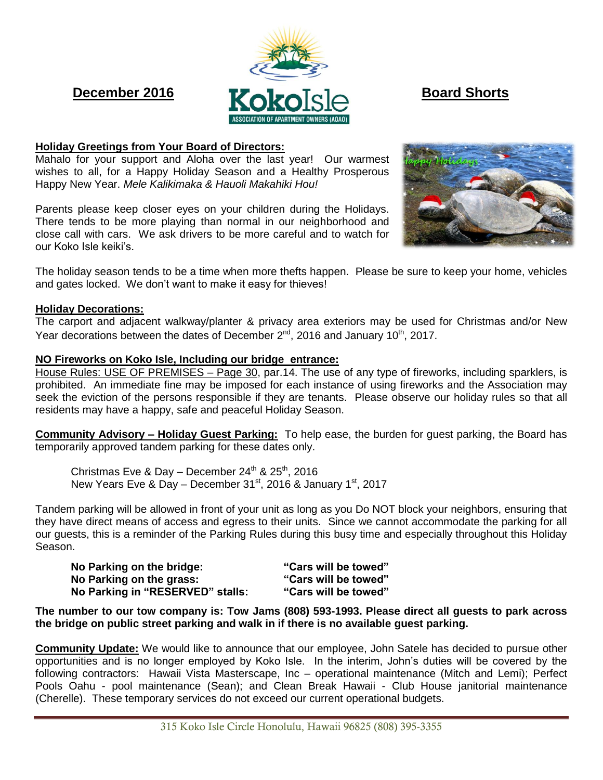

# **Holiday Greetings from Your Board of Directors:**

Mahalo for your support and Aloha over the last year! Our warmest wishes to all, for a Happy Holiday Season and a Healthy Prosperous Happy New Year. *Mele Kalikimaka & Hauoli Makahiki Hou!*

Parents please keep closer eyes on your children during the Holidays. There tends to be more playing than normal in our neighborhood and close call with cars. We ask drivers to be more careful and to watch for our Koko Isle keiki's.

The holiday season tends to be a time when more thefts happen. Please be sure to keep your home, vehicles and gates locked. We don't want to make it easy for thieves!

## **Holiday Decorations:**

The carport and adjacent walkway/planter & privacy area exteriors may be used for Christmas and/or New Year decorations between the dates of December  $2^{nd}$ , 2016 and January 10<sup>th</sup>, 2017.

## **NO Fireworks on Koko Isle, Including our bridge entrance:**

House Rules: USE OF PREMISES – Page 30, par.14. The use of any type of fireworks, including sparklers, is prohibited. An immediate fine may be imposed for each instance of using fireworks and the Association may seek the eviction of the persons responsible if they are tenants. Please observe our holiday rules so that all residents may have a happy, safe and peaceful Holiday Season.

**Community Advisory – Holiday Guest Parking:** To help ease, the burden for guest parking, the Board has temporarily approved tandem parking for these dates only.

Christmas Eve & Day – December  $24^{th}$  &  $25^{th}$ , 2016 New Years Eve & Day – December  $31<sup>st</sup>$ , 2016 & January  $1<sup>st</sup>$ , 2017

Tandem parking will be allowed in front of your unit as long as you Do NOT block your neighbors, ensuring that they have direct means of access and egress to their units. Since we cannot accommodate the parking for all our guests, this is a reminder of the Parking Rules during this busy time and especially throughout this Holiday Season.

| No Parking on the bridge:        | "Cars will be towed" |
|----------------------------------|----------------------|
| No Parking on the grass:         | "Cars will be towed" |
| No Parking in "RESERVED" stalls: | "Cars will be towed" |

**The number to our tow company is: Tow Jams (808) 593-1993. Please direct all guests to park across the bridge on public street parking and walk in if there is no available guest parking.**

**Community Update:** We would like to announce that our employee, John Satele has decided to pursue other opportunities and is no longer employed by Koko Isle. In the interim, John's duties will be covered by the following contractors: Hawaii Vista Masterscape, Inc – operational maintenance (Mitch and Lemi); Perfect Pools Oahu - pool maintenance (Sean); and Clean Break Hawaii - Club House janitorial maintenance (Cherelle). These temporary services do not exceed our current operational budgets.